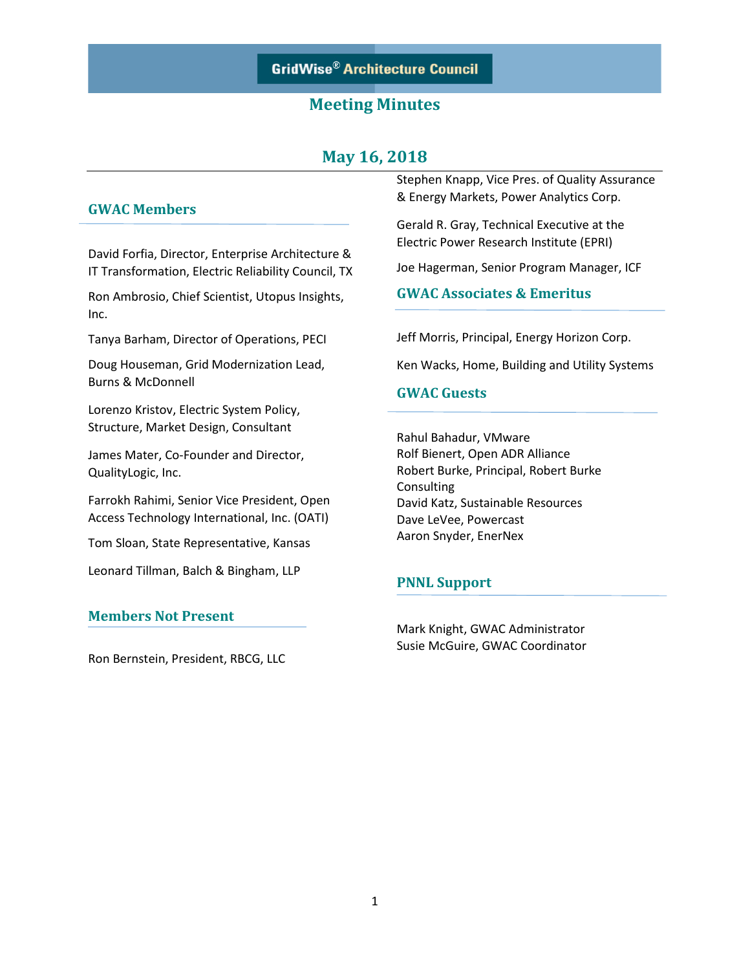## **May 16, 2018**

### **GWAC Members**

David Forfia, Director, Enterprise Architecture & IT Transformation, Electric Reliability Council, TX

Ron Ambrosio, Chief Scientist, Utopus Insights, Inc.

Tanya Barham, Director of Operations, PECI

Doug Houseman, Grid Modernization Lead, Burns & McDonnell

Lorenzo Kristov, Electric System Policy, Structure, Market Design, Consultant

James Mater, Co-Founder and Director, QualityLogic, Inc.

Farrokh Rahimi, Senior Vice President, Open Access Technology International, Inc. (OATI)

Tom Sloan, State Representative, Kansas

Leonard Tillman, Balch & Bingham, LLP

### **Members Not Present**

Ron Bernstein, President, RBCG, LLC

Stephen Knapp, Vice Pres. of Quality Assurance & Energy Markets, Power Analytics Corp.

Gerald R. Gray, Technical Executive at the Electric Power Research Institute (EPRI)

Joe Hagerman, Senior Program Manager, ICF

### **GWAC Associates & Emeritus**

Jeff Morris, Principal, Energy Horizon Corp.

Ken Wacks, Home, Building and Utility Systems

### **GWAC Guests**

Rahul Bahadur, VMware Rolf Bienert, Open ADR Alliance Robert Burke, Principal, Robert Burke Consulting David Katz, Sustainable Resources Dave LeVee, Powercast Aaron Snyder, EnerNex

### **PNNL Support**

Mark Knight, GWAC Administrator Susie McGuire, GWAC Coordinator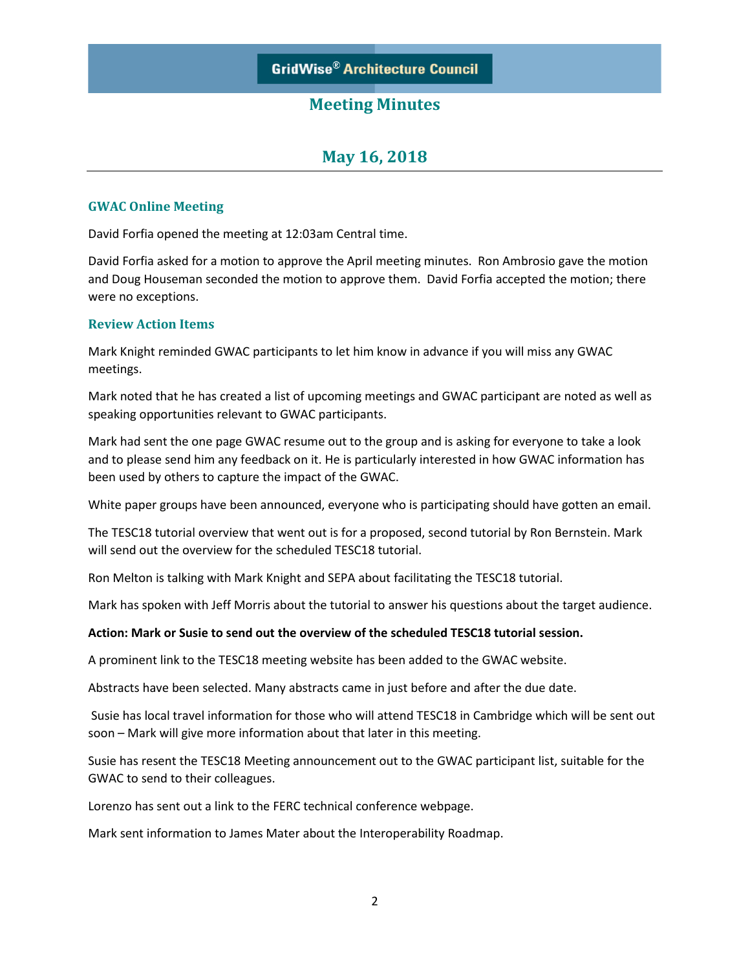# **May 16, 2018**

### **GWAC Online Meeting**

David Forfia opened the meeting at 12:03am Central time.

David Forfia asked for a motion to approve the April meeting minutes. Ron Ambrosio gave the motion and Doug Houseman seconded the motion to approve them. David Forfia accepted the motion; there were no exceptions.

### **Review Action Items**

Mark Knight reminded GWAC participants to let him know in advance if you will miss any GWAC meetings.

Mark noted that he has created a list of upcoming meetings and GWAC participant are noted as well as speaking opportunities relevant to GWAC participants.

Mark had sent the one page GWAC resume out to the group and is asking for everyone to take a look and to please send him any feedback on it. He is particularly interested in how GWAC information has been used by others to capture the impact of the GWAC.

White paper groups have been announced, everyone who is participating should have gotten an email.

The TESC18 tutorial overview that went out is for a proposed, second tutorial by Ron Bernstein. Mark will send out the overview for the scheduled TESC18 tutorial.

Ron Melton is talking with Mark Knight and SEPA about facilitating the TESC18 tutorial.

Mark has spoken with Jeff Morris about the tutorial to answer his questions about the target audience.

#### **Action: Mark or Susie to send out the overview of the scheduled TESC18 tutorial session.**

A prominent link to the TESC18 meeting website has been added to the GWAC website.

Abstracts have been selected. Many abstracts came in just before and after the due date.

Susie has local travel information for those who will attend TESC18 in Cambridge which will be sent out soon – Mark will give more information about that later in this meeting.

Susie has resent the TESC18 Meeting announcement out to the GWAC participant list, suitable for the GWAC to send to their colleagues.

Lorenzo has sent out a link to the FERC technical conference webpage.

Mark sent information to James Mater about the Interoperability Roadmap.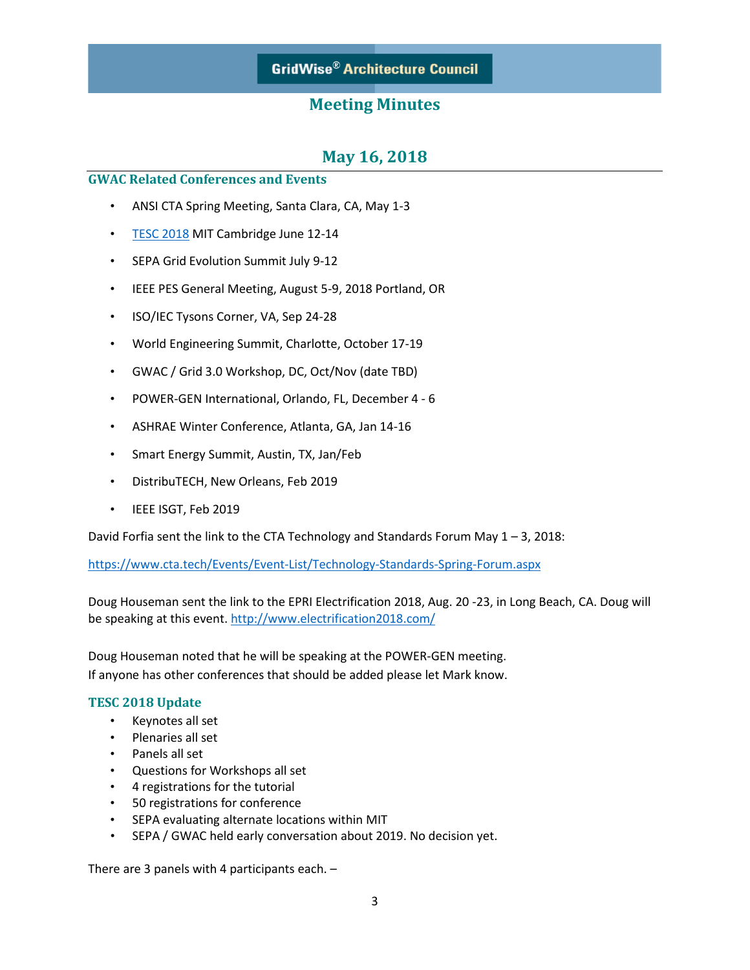# **GridWise® Architecture Council**

## **Meeting Minutes**

## **May 16, 2018**

### **GWAC Related Conferences and Events**

- ANSI CTA Spring Meeting, Santa Clara, CA, May 1-3
- [TESC 2018](https://sepapower.org/event-complex/2018-transactive-energy-systems-conference/) MIT Cambridge June 12-14
- SEPA Grid Evolution Summit July 9-12
- IEEE PES General Meeting, August 5-9, 2018 Portland, OR
- ISO/IEC Tysons Corner, VA, Sep 24-28
- World Engineering Summit, Charlotte, October 17-19
- GWAC / Grid 3.0 Workshop, DC, Oct/Nov (date TBD)
- POWER-GEN International, Orlando, FL, December 4 6
- ASHRAE Winter Conference, Atlanta, GA, Jan 14-16
- Smart Energy Summit, Austin, TX, Jan/Feb
- DistribuTECH, New Orleans, Feb 2019
- IEEE ISGT, Feb 2019

David Forfia sent the link to the CTA Technology and Standards Forum May  $1 - 3$ , 2018:

<https://www.cta.tech/Events/Event-List/Technology-Standards-Spring-Forum.aspx>

Doug Houseman sent the link to the EPRI Electrification 2018, Aug. 20 -23, in Long Beach, CA. Doug will be speaking at this event. <http://www.electrification2018.com/>

Doug Houseman noted that he will be speaking at the POWER-GEN meeting. If anyone has other conferences that should be added please let Mark know.

#### **TESC 2018 Update**

- Keynotes all set
- Plenaries all set
- Panels all set
- Questions for Workshops all set
- 4 registrations for the tutorial
- 50 registrations for conference
- SEPA evaluating alternate locations within MIT
- SEPA / GWAC held early conversation about 2019. No decision yet.

There are 3 panels with 4 participants each. –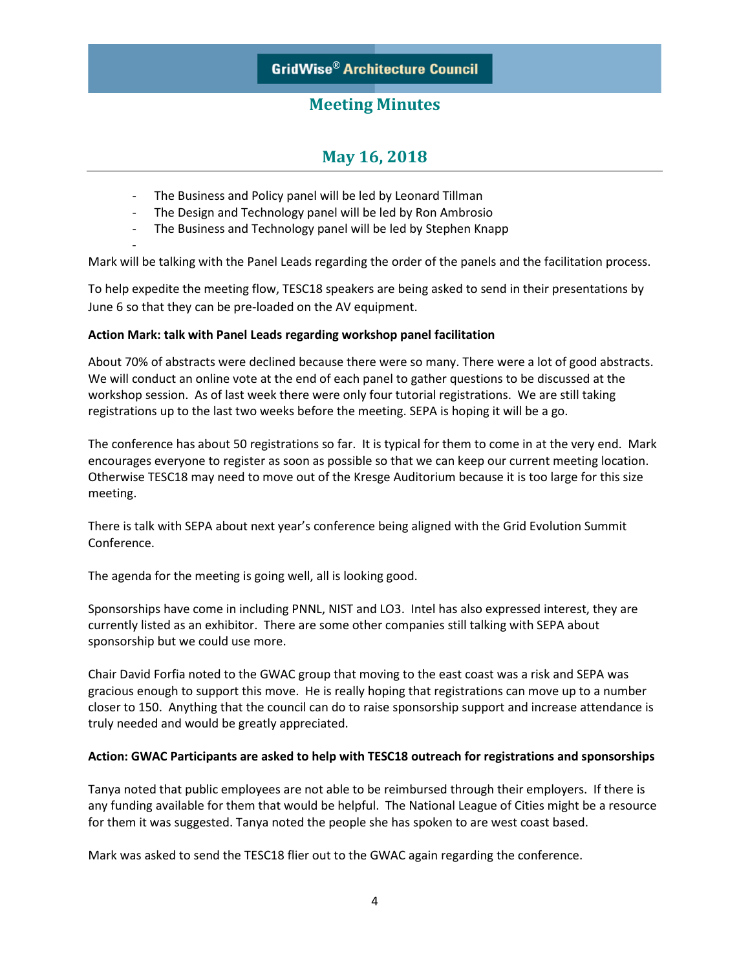# **May 16, 2018**

- The Business and Policy panel will be led by Leonard Tillman
- The Design and Technology panel will be led by Ron Ambrosio
- The Business and Technology panel will be led by Stephen Knapp

Mark will be talking with the Panel Leads regarding the order of the panels and the facilitation process.

To help expedite the meeting flow, TESC18 speakers are being asked to send in their presentations by June 6 so that they can be pre-loaded on the AV equipment.

### **Action Mark: talk with Panel Leads regarding workshop panel facilitation**

-

About 70% of abstracts were declined because there were so many. There were a lot of good abstracts. We will conduct an online vote at the end of each panel to gather questions to be discussed at the workshop session. As of last week there were only four tutorial registrations. We are still taking registrations up to the last two weeks before the meeting. SEPA is hoping it will be a go.

The conference has about 50 registrations so far. It is typical for them to come in at the very end. Mark encourages everyone to register as soon as possible so that we can keep our current meeting location. Otherwise TESC18 may need to move out of the Kresge Auditorium because it is too large for this size meeting.

There is talk with SEPA about next year's conference being aligned with the Grid Evolution Summit Conference.

The agenda for the meeting is going well, all is looking good.

Sponsorships have come in including PNNL, NIST and LO3. Intel has also expressed interest, they are currently listed as an exhibitor. There are some other companies still talking with SEPA about sponsorship but we could use more.

Chair David Forfia noted to the GWAC group that moving to the east coast was a risk and SEPA was gracious enough to support this move. He is really hoping that registrations can move up to a number closer to 150. Anything that the council can do to raise sponsorship support and increase attendance is truly needed and would be greatly appreciated.

### **Action: GWAC Participants are asked to help with TESC18 outreach for registrations and sponsorships**

Tanya noted that public employees are not able to be reimbursed through their employers. If there is any funding available for them that would be helpful. The National League of Cities might be a resource for them it was suggested. Tanya noted the people she has spoken to are west coast based.

Mark was asked to send the TESC18 flier out to the GWAC again regarding the conference.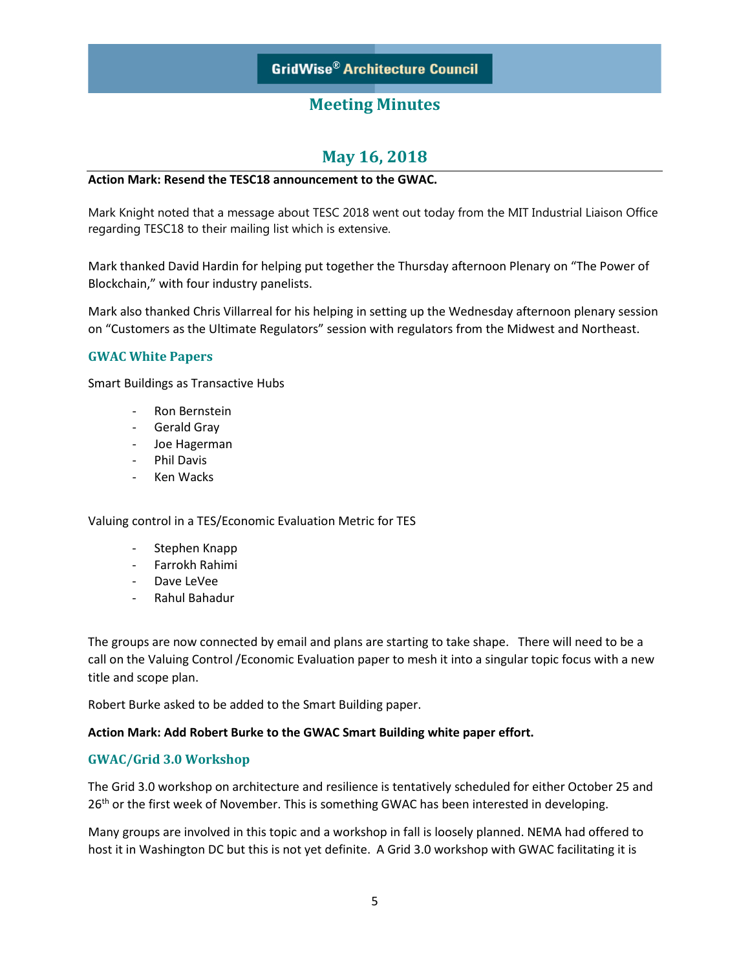# **May 16, 2018**

### **Action Mark: Resend the TESC18 announcement to the GWAC.**

Mark Knight noted that a message about TESC 2018 went out today from the MIT Industrial Liaison Office regarding TESC18 to their mailing list which is extensive.

Mark thanked David Hardin for helping put together the Thursday afternoon Plenary on "The Power of Blockchain," with four industry panelists.

Mark also thanked Chris Villarreal for his helping in setting up the Wednesday afternoon plenary session on "Customers as the Ultimate Regulators" session with regulators from the Midwest and Northeast.

### **GWAC White Papers**

Smart Buildings as Transactive Hubs

- Ron Bernstein
- Gerald Gray
- Joe Hagerman
- Phil Davis
- Ken Wacks

Valuing control in a TES/Economic Evaluation Metric for TES

- Stephen Knapp
- Farrokh Rahimi
- Dave LeVee
- Rahul Bahadur

The groups are now connected by email and plans are starting to take shape. There will need to be a call on the Valuing Control /Economic Evaluation paper to mesh it into a singular topic focus with a new title and scope plan.

Robert Burke asked to be added to the Smart Building paper.

#### **Action Mark: Add Robert Burke to the GWAC Smart Building white paper effort.**

### **GWAC/Grid 3.0 Workshop**

The Grid 3.0 workshop on architecture and resilience is tentatively scheduled for either October 25 and 26<sup>th</sup> or the first week of November. This is something GWAC has been interested in developing.

Many groups are involved in this topic and a workshop in fall is loosely planned. NEMA had offered to host it in Washington DC but this is not yet definite. A Grid 3.0 workshop with GWAC facilitating it is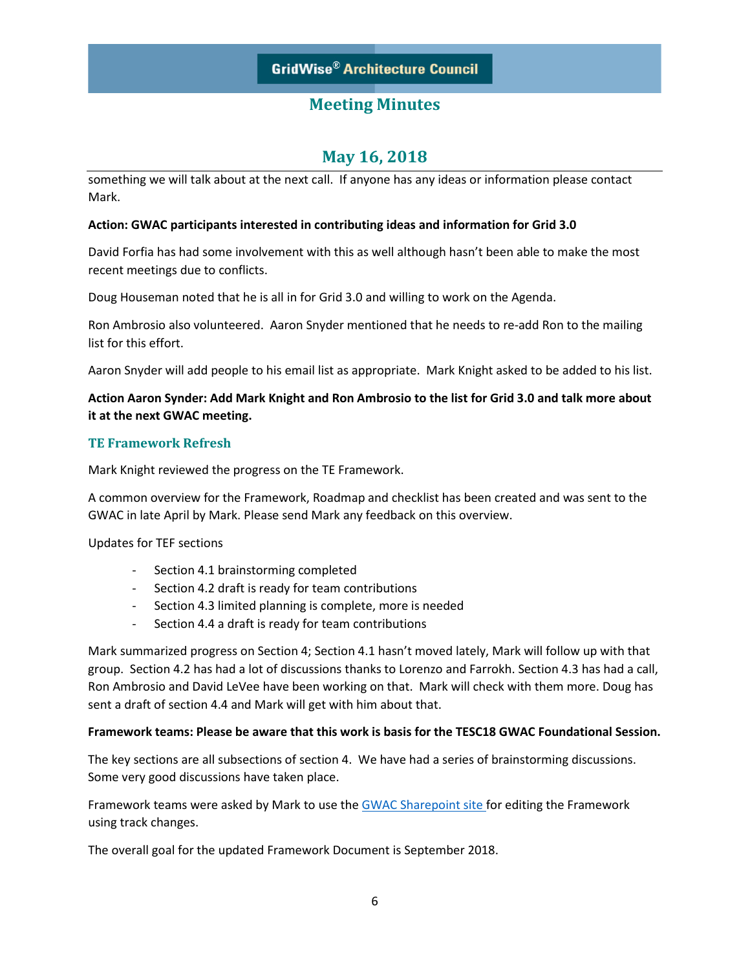# **May 16, 2018**

something we will talk about at the next call. If anyone has any ideas or information please contact Mark.

### **Action: GWAC participants interested in contributing ideas and information for Grid 3.0**

David Forfia has had some involvement with this as well although hasn't been able to make the most recent meetings due to conflicts.

Doug Houseman noted that he is all in for Grid 3.0 and willing to work on the Agenda.

Ron Ambrosio also volunteered. Aaron Snyder mentioned that he needs to re-add Ron to the mailing list for this effort.

Aaron Snyder will add people to his email list as appropriate. Mark Knight asked to be added to his list.

### **Action Aaron Synder: Add Mark Knight and Ron Ambrosio to the list for Grid 3.0 and talk more about it at the next GWAC meeting.**

#### **TE Framework Refresh**

Mark Knight reviewed the progress on the TE Framework.

A common overview for the Framework, Roadmap and checklist has been created and was sent to the GWAC in late April by Mark. Please send Mark any feedback on this overview.

Updates for TEF sections

- Section 4.1 brainstorming completed
- Section 4.2 draft is ready for team contributions
- Section 4.3 limited planning is complete, more is needed
- Section 4.4 a draft is ready for team contributions

Mark summarized progress on Section 4; Section 4.1 hasn't moved lately, Mark will follow up with that group. Section 4.2 has had a lot of discussions thanks to Lorenzo and Farrokh. Section 4.3 has had a call, Ron Ambrosio and David LeVee have been working on that. Mark will check with them more. Doug has sent a draft of section 4.4 and Mark will get with him about that.

#### **Framework teams: Please be aware that this work is basis for the TESC18 GWAC Foundational Session.**

The key sections are all subsections of section 4. We have had a series of brainstorming discussions. Some very good discussions have taken place.

Framework teams were asked by Mark to use the **GWAC [Sharepoint](https://www.gridarch.org/Transactive%20Energy/Forms/AllItems.aspx?RootFolder=%2FTransactive%20Energy%2FFramework%20Document&FolderCTID=0x0120000DC5DD1A4794D14696998A97F272F6DA&View=%7bF7067F7F-2CD5-4DC6-86CD-B8074978262F%7d) site for editing the Framework** using track changes.

The overall goal for the updated Framework Document is September 2018.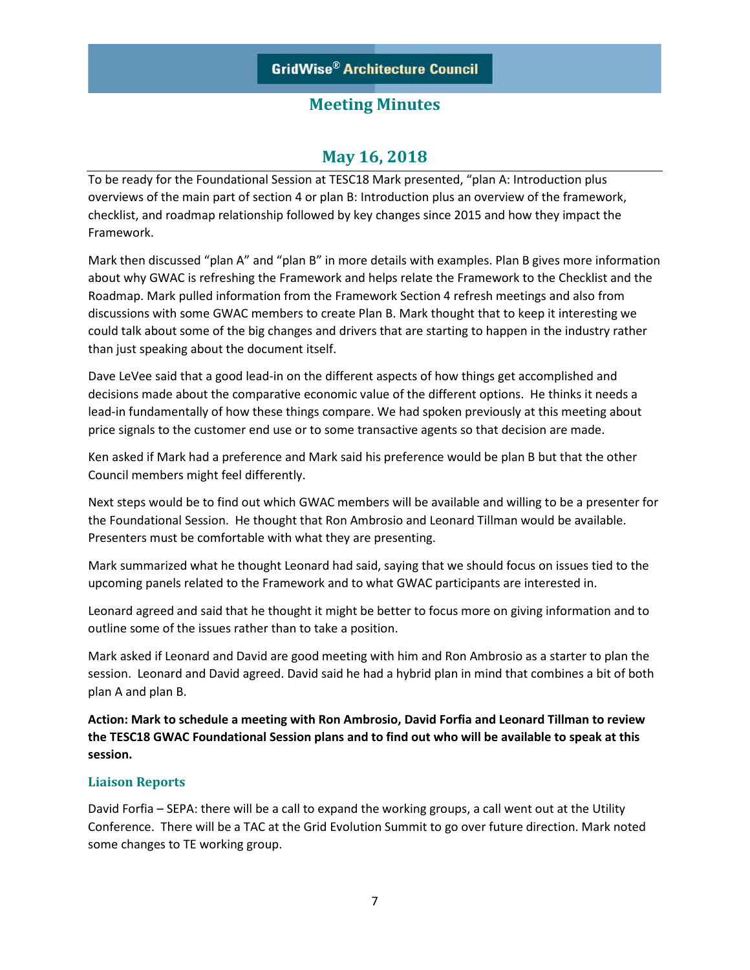## **May 16, 2018**

To be ready for the Foundational Session at TESC18 Mark presented, "plan A: Introduction plus overviews of the main part of section 4 or plan B: Introduction plus an overview of the framework, checklist, and roadmap relationship followed by key changes since 2015 and how they impact the Framework.

Mark then discussed "plan A" and "plan B" in more details with examples. Plan B gives more information about why GWAC is refreshing the Framework and helps relate the Framework to the Checklist and the Roadmap. Mark pulled information from the Framework Section 4 refresh meetings and also from discussions with some GWAC members to create Plan B. Mark thought that to keep it interesting we could talk about some of the big changes and drivers that are starting to happen in the industry rather than just speaking about the document itself.

Dave LeVee said that a good lead-in on the different aspects of how things get accomplished and decisions made about the comparative economic value of the different options. He thinks it needs a lead-in fundamentally of how these things compare. We had spoken previously at this meeting about price signals to the customer end use or to some transactive agents so that decision are made.

Ken asked if Mark had a preference and Mark said his preference would be plan B but that the other Council members might feel differently.

Next steps would be to find out which GWAC members will be available and willing to be a presenter for the Foundational Session. He thought that Ron Ambrosio and Leonard Tillman would be available. Presenters must be comfortable with what they are presenting.

Mark summarized what he thought Leonard had said, saying that we should focus on issues tied to the upcoming panels related to the Framework and to what GWAC participants are interested in.

Leonard agreed and said that he thought it might be better to focus more on giving information and to outline some of the issues rather than to take a position.

Mark asked if Leonard and David are good meeting with him and Ron Ambrosio as a starter to plan the session. Leonard and David agreed. David said he had a hybrid plan in mind that combines a bit of both plan A and plan B.

**Action: Mark to schedule a meeting with Ron Ambrosio, David Forfia and Leonard Tillman to review the TESC18 GWAC Foundational Session plans and to find out who will be available to speak at this session.**

### **Liaison Reports**

David Forfia – SEPA: there will be a call to expand the working groups, a call went out at the Utility Conference. There will be a TAC at the Grid Evolution Summit to go over future direction. Mark noted some changes to TE working group.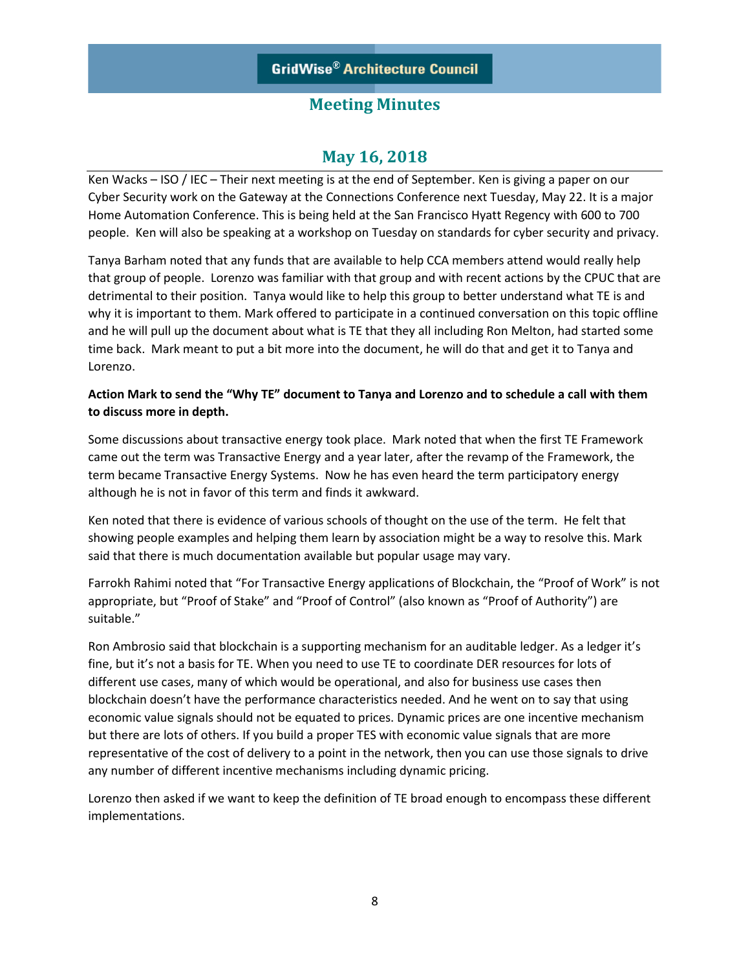# **May 16, 2018**

Ken Wacks – ISO / IEC – Their next meeting is at the end of September. Ken is giving a paper on our Cyber Security work on the Gateway at the Connections Conference next Tuesday, May 22. It is a major Home Automation Conference. This is being held at the San Francisco Hyatt Regency with 600 to 700 people. Ken will also be speaking at a workshop on Tuesday on standards for cyber security and privacy.

Tanya Barham noted that any funds that are available to help CCA members attend would really help that group of people. Lorenzo was familiar with that group and with recent actions by the CPUC that are detrimental to their position. Tanya would like to help this group to better understand what TE is and why it is important to them. Mark offered to participate in a continued conversation on this topic offline and he will pull up the document about what is TE that they all including Ron Melton, had started some time back. Mark meant to put a bit more into the document, he will do that and get it to Tanya and Lorenzo.

### **Action Mark to send the "Why TE" document to Tanya and Lorenzo and to schedule a call with them to discuss more in depth.**

Some discussions about transactive energy took place. Mark noted that when the first TE Framework came out the term was Transactive Energy and a year later, after the revamp of the Framework, the term became Transactive Energy Systems. Now he has even heard the term participatory energy although he is not in favor of this term and finds it awkward.

Ken noted that there is evidence of various schools of thought on the use of the term. He felt that showing people examples and helping them learn by association might be a way to resolve this. Mark said that there is much documentation available but popular usage may vary.

Farrokh Rahimi noted that "For Transactive Energy applications of Blockchain, the "Proof of Work" is not appropriate, but "Proof of Stake" and "Proof of Control" (also known as "Proof of Authority") are suitable."

Ron Ambrosio said that blockchain is a supporting mechanism for an auditable ledger. As a ledger it's fine, but it's not a basis for TE. When you need to use TE to coordinate DER resources for lots of different use cases, many of which would be operational, and also for business use cases then blockchain doesn't have the performance characteristics needed. And he went on to say that using economic value signals should not be equated to prices. Dynamic prices are one incentive mechanism but there are lots of others. If you build a proper TES with economic value signals that are more representative of the cost of delivery to a point in the network, then you can use those signals to drive any number of different incentive mechanisms including dynamic pricing.

Lorenzo then asked if we want to keep the definition of TE broad enough to encompass these different implementations.